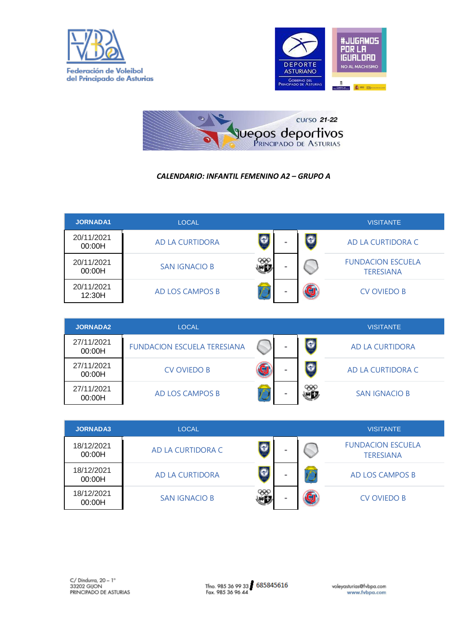





## *CALENDARIO: INFANTIL FEMENINO A2 – GRUPO A*

| <b>JORNADA1</b>      | <b>LOCAL</b>         |   |   |   | <b>VISITANTE</b>                             |
|----------------------|----------------------|---|---|---|----------------------------------------------|
| 20/11/2021<br>00:00H | AD LA CURTIDORA      | е | ۰ | O | AD LA CURTIDORA C                            |
| 20/11/2021<br>00:00H | <b>SAN IGNACIO B</b> |   | ٠ |   | <b>FUNDACION ESCUELA</b><br><b>TERESIANA</b> |
| 20/11/2021<br>12:30H | AD LOS CAMPOS B      |   |   |   | <b>CV OVIEDO B</b>                           |

| <b>JORNADA2</b>      | <b>LOCAL</b>                       |   |         | <b>VISITANTE</b>     |
|----------------------|------------------------------------|---|---------|----------------------|
| 27/11/2021<br>00:00H | <b>FUNDACION ESCUELA TERESIANA</b> | - | O       | AD LA CURTIDORA      |
| 27/11/2021<br>00:00H | <b>CV OVIEDO B</b>                 | - | O       | AD LA CURTIDORA C    |
| 27/11/2021<br>00:00H | AD LOS CAMPOS B                    | - | ₩<br>崩围 | <b>SAN IGNACIO B</b> |

| <b>JORNADA3</b>      | <b>LOCAL</b>         |   |   | <b>VISITANTE</b>                             |
|----------------------|----------------------|---|---|----------------------------------------------|
| 18/12/2021<br>00:00H | AD LA CURTIDORA C    | Æ | m | <b>FUNDACION ESCUELA</b><br><b>TERESIANA</b> |
| 18/12/2021<br>00:00H | AD LA CURTIDORA      | e | m | AD LOS CAMPOS B                              |
| 18/12/2021<br>00:00H | <b>SAN IGNACIO B</b> |   |   | <b>CV OVIEDO B</b>                           |

Tfno. 985 36 99 33 685845616<br>Fax. 985 36 96 44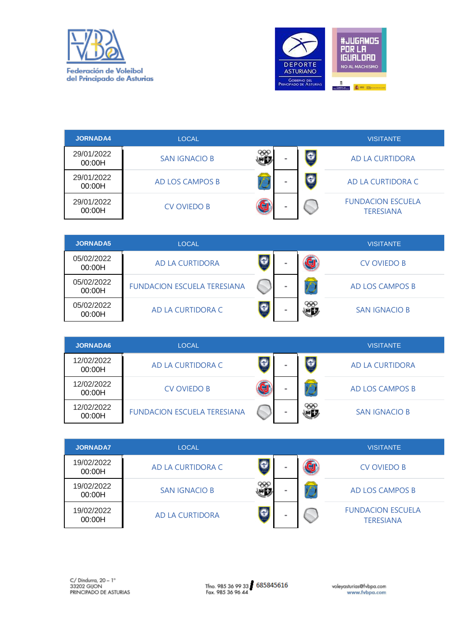



| <b>JORNADA4</b>      | <b>LOCAL</b>         |   |   | <b>VISITANTE</b>                             |
|----------------------|----------------------|---|---|----------------------------------------------|
| 29/01/2022<br>00:00H | <b>SAN IGNACIO B</b> | ▄ | Ō | <b>AD LA CURTIDORA</b>                       |
| 29/01/2022<br>00:00H | AD LOS CAMPOS B      | - | O | AD LA CURTIDORA C                            |
| 29/01/2022<br>00:00H | <b>CV OVIEDO B</b>   | - |   | <b>FUNDACION ESCUELA</b><br><b>TERESIANA</b> |

| <b>JORNADA5</b>      | <b>LOCAL</b>                       |   |          |    | <b>VISITANTE</b>     |
|----------------------|------------------------------------|---|----------|----|----------------------|
| 05/02/2022<br>00:00H | <b>AD LA CURTIDORA</b>             | e |          |    | <b>CV OVIEDO B</b>   |
| 05/02/2022<br>00:00H | <b>FUNDACION ESCUELA TERESIANA</b> |   |          |    | AD LOS CAMPOS B      |
| 05/02/2022<br>00:00H | AD LA CURTIDORA C                  | Θ | $\equiv$ | 脚目 | <b>SAN IGNACIO B</b> |

| <b>JORNADA6</b>      | <b>LOCAL</b>                       |   |          |           | <b>VISITANTE</b>     |
|----------------------|------------------------------------|---|----------|-----------|----------------------|
| 12/02/2022<br>00:00H | AD LA CURTIDORA C                  | e | $\equiv$ | $\bullet$ | AD LA CURTIDORA      |
| 12/02/2022<br>00:00H | <b>CV OVIEDO B</b>                 |   | $\equiv$ |           | AD LOS CAMPOS B      |
| 12/02/2022<br>00:00H | <b>FUNDACION ESCUELA TERESIANA</b> |   | $\equiv$ | æ         | <b>SAN IGNACIO B</b> |

| <b>JORNADA7</b>      | <b>LOCAL</b>           |   |   | <b>VISITANTE</b>                             |
|----------------------|------------------------|---|---|----------------------------------------------|
| 19/02/2022<br>00:00H | AD LA CURTIDORA C      | ā |   | <b>CV OVIEDO B</b>                           |
| 19/02/2022<br>00:00H | <b>SAN IGNACIO B</b>   |   | - | AD LOS CAMPOS B                              |
| 19/02/2022<br>00:00H | <b>AD LA CURTIDORA</b> | ā | - | <b>FUNDACION ESCUELA</b><br><b>TERESIANA</b> |

Tho. 985 36 99 33 685845616<br>Fax. 985 36 96 44

voleyasturias@fvbpa.com<br>www.fvbpa.com